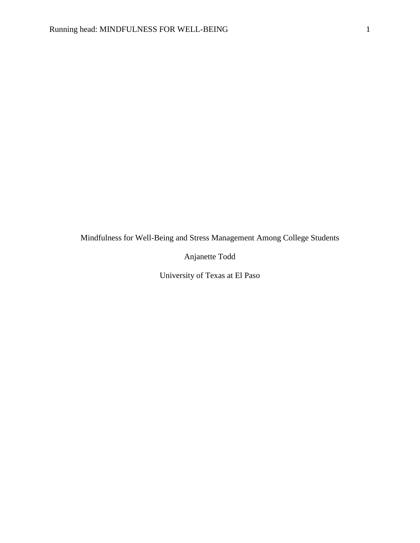Mindfulness for Well-Being and Stress Management Among College Students

Anjanette Todd

University of Texas at El Paso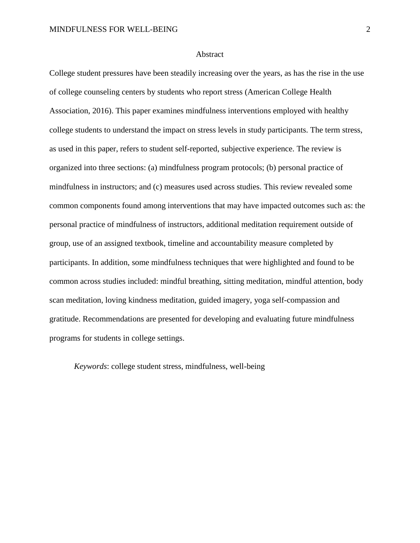#### Abstract

College student pressures have been steadily increasing over the years, as has the rise in the use of college counseling centers by students who report stress (American College Health Association, 2016). This paper examines mindfulness interventions employed with healthy college students to understand the impact on stress levels in study participants. The term stress, as used in this paper, refers to student self-reported, subjective experience. The review is organized into three sections: (a) mindfulness program protocols; (b) personal practice of mindfulness in instructors; and (c) measures used across studies. This review revealed some common components found among interventions that may have impacted outcomes such as: the personal practice of mindfulness of instructors, additional meditation requirement outside of group, use of an assigned textbook, timeline and accountability measure completed by participants. In addition, some mindfulness techniques that were highlighted and found to be common across studies included: mindful breathing, sitting meditation, mindful attention, body scan meditation, loving kindness meditation, guided imagery, yoga self-compassion and gratitude. Recommendations are presented for developing and evaluating future mindfulness programs for students in college settings.

*Keywords*: college student stress, mindfulness, well-being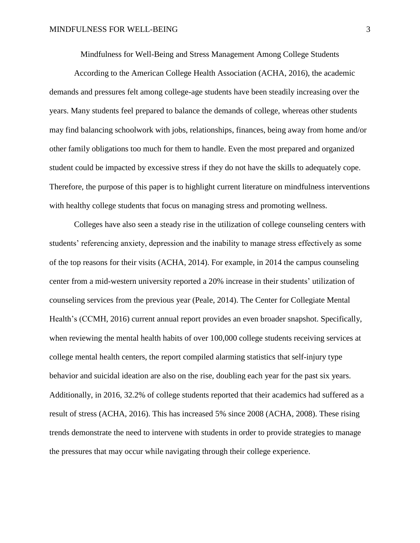Mindfulness for Well-Being and Stress Management Among College Students

According to the American College Health Association (ACHA, 2016), the academic demands and pressures felt among college-age students have been steadily increasing over the years. Many students feel prepared to balance the demands of college, whereas other students may find balancing schoolwork with jobs, relationships, finances, being away from home and/or other family obligations too much for them to handle. Even the most prepared and organized student could be impacted by excessive stress if they do not have the skills to adequately cope. Therefore, the purpose of this paper is to highlight current literature on mindfulness interventions with healthy college students that focus on managing stress and promoting wellness.

Colleges have also seen a steady rise in the utilization of college counseling centers with students' referencing anxiety, depression and the inability to manage stress effectively as some of the top reasons for their visits (ACHA, 2014). For example, in 2014 the campus counseling center from a mid-western university reported a 20% increase in their students' utilization of counseling services from the previous year (Peale, 2014). The Center for Collegiate Mental Health's (CCMH, 2016) current annual report provides an even broader snapshot. Specifically, when reviewing the mental health habits of over 100,000 college students receiving services at college mental health centers, the report compiled alarming statistics that self-injury type behavior and suicidal ideation are also on the rise, doubling each year for the past six years. Additionally, in 2016, 32.2% of college students reported that their academics had suffered as a result of stress (ACHA, 2016). This has increased 5% since 2008 (ACHA, 2008). These rising trends demonstrate the need to intervene with students in order to provide strategies to manage the pressures that may occur while navigating through their college experience.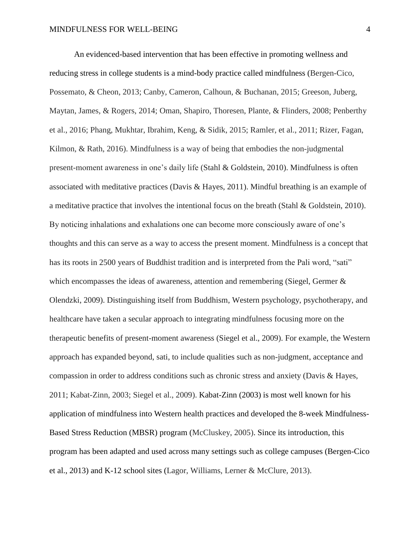An evidenced-based intervention that has been effective in promoting wellness and reducing stress in college students is a mind-body practice called mindfulness (Bergen-Cico, Possemato, & Cheon, 2013; Canby, Cameron, Calhoun, & Buchanan, 2015; Greeson, Juberg, Maytan, James, & Rogers, 2014; Oman, Shapiro, Thoresen, Plante, & Flinders, 2008; Penberthy et al., 2016; Phang, Mukhtar, Ibrahim, Keng, & Sidik, 2015; Ramler, et al., 2011; Rizer, Fagan, Kilmon, & Rath, 2016). Mindfulness is a way of being that embodies the non-judgmental present-moment awareness in one's daily life (Stahl & Goldstein, 2010). Mindfulness is often associated with meditative practices (Davis & Hayes, 2011). Mindful breathing is an example of a meditative practice that involves the intentional focus on the breath (Stahl & Goldstein, 2010). By noticing inhalations and exhalations one can become more consciously aware of one's thoughts and this can serve as a way to access the present moment. Mindfulness is a concept that has its roots in 2500 years of Buddhist tradition and is interpreted from the Pali word, "sati" which encompasses the ideas of awareness, attention and remembering (Siegel, Germer & Olendzki, 2009). Distinguishing itself from Buddhism, Western psychology, psychotherapy, and healthcare have taken a secular approach to integrating mindfulness focusing more on the therapeutic benefits of present-moment awareness (Siegel et al., 2009). For example, the Western approach has expanded beyond, sati, to include qualities such as non-judgment, acceptance and compassion in order to address conditions such as chronic stress and anxiety (Davis & Hayes, 2011; Kabat-Zinn, 2003; Siegel et al., 2009). Kabat-Zinn (2003) is most well known for his application of mindfulness into Western health practices and developed the 8-week Mindfulness-Based Stress Reduction (MBSR) program (McCluskey, 2005). Since its introduction, this program has been adapted and used across many settings such as college campuses (Bergen-Cico et al., 2013) and K-12 school sites (Lagor, Williams, Lerner & McClure, 2013).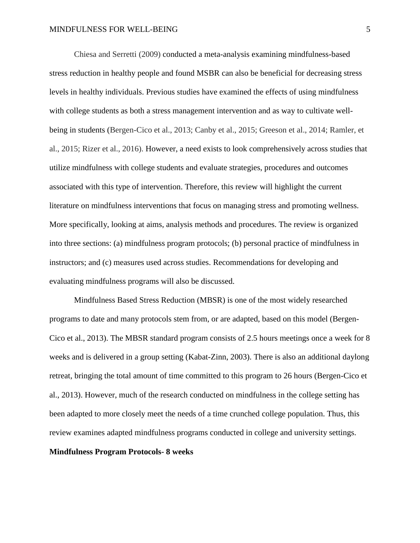Chiesa and Serretti (2009) conducted a meta-analysis examining mindfulness-based stress reduction in healthy people and found MSBR can also be beneficial for decreasing stress levels in healthy individuals. Previous studies have examined the effects of using mindfulness with college students as both a stress management intervention and as way to cultivate wellbeing in students (Bergen-Cico et al., 2013; Canby et al., 2015; Greeson et al., 2014; Ramler, et al., 2015; Rizer et al., 2016). However, a need exists to look comprehensively across studies that utilize mindfulness with college students and evaluate strategies, procedures and outcomes associated with this type of intervention. Therefore, this review will highlight the current literature on mindfulness interventions that focus on managing stress and promoting wellness. More specifically, looking at aims, analysis methods and procedures. The review is organized into three sections: (a) mindfulness program protocols; (b) personal practice of mindfulness in instructors; and (c) measures used across studies. Recommendations for developing and evaluating mindfulness programs will also be discussed.

Mindfulness Based Stress Reduction (MBSR) is one of the most widely researched programs to date and many protocols stem from, or are adapted, based on this model (Bergen-Cico et al., 2013). The MBSR standard program consists of 2.5 hours meetings once a week for 8 weeks and is delivered in a group setting (Kabat-Zinn, 2003). There is also an additional daylong retreat, bringing the total amount of time committed to this program to 26 hours (Bergen-Cico et al., 2013). However, much of the research conducted on mindfulness in the college setting has been adapted to more closely meet the needs of a time crunched college population. Thus, this review examines adapted mindfulness programs conducted in college and university settings.

# **Mindfulness Program Protocols- 8 weeks**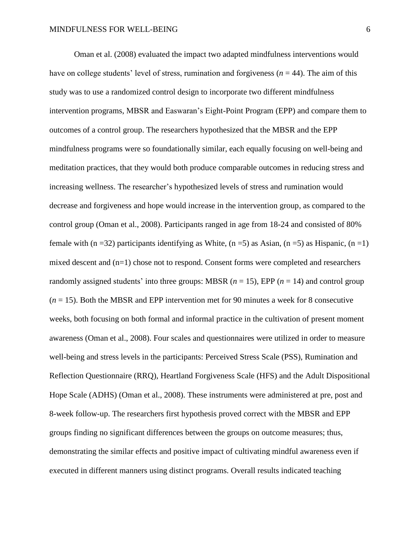Oman et al. (2008) evaluated the impact two adapted mindfulness interventions would have on college students' level of stress, rumination and forgiveness  $(n = 44)$ . The aim of this study was to use a randomized control design to incorporate two different mindfulness intervention programs, MBSR and Easwaran's Eight-Point Program (EPP) and compare them to outcomes of a control group. The researchers hypothesized that the MBSR and the EPP mindfulness programs were so foundationally similar, each equally focusing on well-being and meditation practices, that they would both produce comparable outcomes in reducing stress and increasing wellness. The researcher's hypothesized levels of stress and rumination would decrease and forgiveness and hope would increase in the intervention group, as compared to the control group (Oman et al., 2008). Participants ranged in age from 18-24 and consisted of 80% female with (n =32) participants identifying as White, (n =5) as Asian, (n =5) as Hispanic, (n =1) mixed descent and (n=1) chose not to respond. Consent forms were completed and researchers randomly assigned students' into three groups: MBSR  $(n = 15)$ , EPP  $(n = 14)$  and control group (*n* = 15). Both the MBSR and EPP intervention met for 90 minutes a week for 8 consecutive weeks, both focusing on both formal and informal practice in the cultivation of present moment awareness (Oman et al., 2008). Four scales and questionnaires were utilized in order to measure well-being and stress levels in the participants: Perceived Stress Scale (PSS), Rumination and Reflection Questionnaire (RRQ), Heartland Forgiveness Scale (HFS) and the Adult Dispositional Hope Scale (ADHS) (Oman et al., 2008). These instruments were administered at pre, post and 8-week follow-up. The researchers first hypothesis proved correct with the MBSR and EPP groups finding no significant differences between the groups on outcome measures; thus, demonstrating the similar effects and positive impact of cultivating mindful awareness even if executed in different manners using distinct programs. Overall results indicated teaching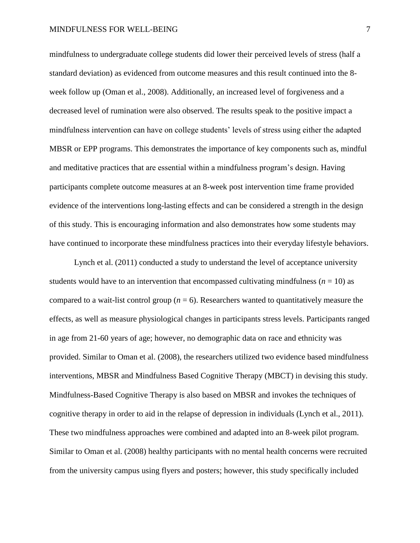mindfulness to undergraduate college students did lower their perceived levels of stress (half a standard deviation) as evidenced from outcome measures and this result continued into the 8 week follow up (Oman et al., 2008). Additionally, an increased level of forgiveness and a decreased level of rumination were also observed. The results speak to the positive impact a mindfulness intervention can have on college students' levels of stress using either the adapted MBSR or EPP programs. This demonstrates the importance of key components such as, mindful and meditative practices that are essential within a mindfulness program's design. Having participants complete outcome measures at an 8-week post intervention time frame provided evidence of the interventions long-lasting effects and can be considered a strength in the design of this study. This is encouraging information and also demonstrates how some students may have continued to incorporate these mindfulness practices into their everyday lifestyle behaviors.

Lynch et al. (2011) conducted a study to understand the level of acceptance university students would have to an intervention that encompassed cultivating mindfulness ( $n = 10$ ) as compared to a wait-list control group ( $n = 6$ ). Researchers wanted to quantitatively measure the effects, as well as measure physiological changes in participants stress levels. Participants ranged in age from 21-60 years of age; however, no demographic data on race and ethnicity was provided. Similar to Oman et al. (2008), the researchers utilized two evidence based mindfulness interventions, MBSR and Mindfulness Based Cognitive Therapy (MBCT) in devising this study. Mindfulness-Based Cognitive Therapy is also based on MBSR and invokes the techniques of cognitive therapy in order to aid in the relapse of depression in individuals (Lynch et al., 2011). These two mindfulness approaches were combined and adapted into an 8-week pilot program. Similar to Oman et al. (2008) healthy participants with no mental health concerns were recruited from the university campus using flyers and posters; however, this study specifically included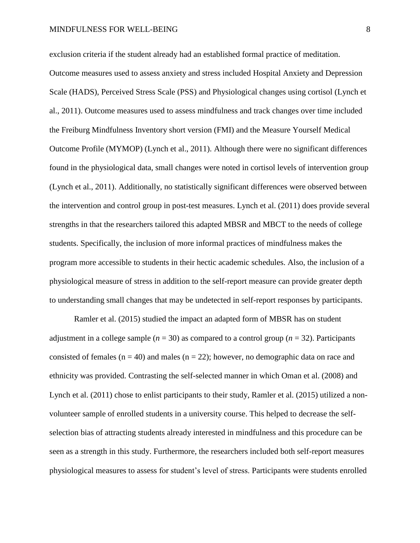exclusion criteria if the student already had an established formal practice of meditation. Outcome measures used to assess anxiety and stress included Hospital Anxiety and Depression Scale (HADS), Perceived Stress Scale (PSS) and Physiological changes using cortisol (Lynch et al., 2011). Outcome measures used to assess mindfulness and track changes over time included the Freiburg Mindfulness Inventory short version (FMI) and the Measure Yourself Medical Outcome Profile (MYMOP) (Lynch et al., 2011). Although there were no significant differences found in the physiological data, small changes were noted in cortisol levels of intervention group (Lynch et al., 2011). Additionally, no statistically significant differences were observed between the intervention and control group in post-test measures. Lynch et al. (2011) does provide several strengths in that the researchers tailored this adapted MBSR and MBCT to the needs of college students. Specifically, the inclusion of more informal practices of mindfulness makes the program more accessible to students in their hectic academic schedules. Also, the inclusion of a physiological measure of stress in addition to the self-report measure can provide greater depth to understanding small changes that may be undetected in self-report responses by participants.

Ramler et al. (2015) studied the impact an adapted form of MBSR has on student adjustment in a college sample ( $n = 30$ ) as compared to a control group ( $n = 32$ ). Participants consisted of females ( $n = 40$ ) and males ( $n = 22$ ); however, no demographic data on race and ethnicity was provided. Contrasting the self-selected manner in which Oman et al. (2008) and Lynch et al. (2011) chose to enlist participants to their study, Ramler et al. (2015) utilized a nonvolunteer sample of enrolled students in a university course. This helped to decrease the selfselection bias of attracting students already interested in mindfulness and this procedure can be seen as a strength in this study. Furthermore, the researchers included both self-report measures physiological measures to assess for student's level of stress. Participants were students enrolled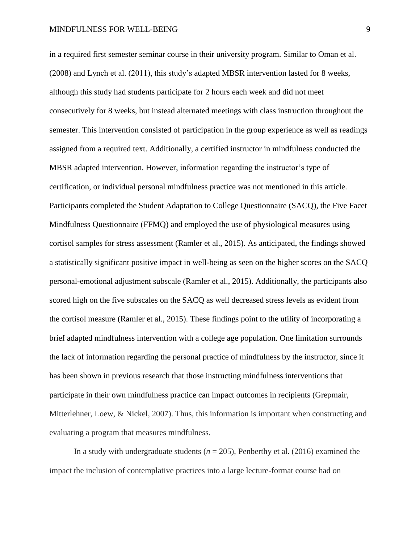in a required first semester seminar course in their university program. Similar to Oman et al. (2008) and Lynch et al. (2011), this study's adapted MBSR intervention lasted for 8 weeks, although this study had students participate for 2 hours each week and did not meet consecutively for 8 weeks, but instead alternated meetings with class instruction throughout the semester. This intervention consisted of participation in the group experience as well as readings assigned from a required text. Additionally, a certified instructor in mindfulness conducted the MBSR adapted intervention. However, information regarding the instructor's type of certification, or individual personal mindfulness practice was not mentioned in this article. Participants completed the Student Adaptation to College Questionnaire (SACQ), the Five Facet Mindfulness Questionnaire (FFMQ) and employed the use of physiological measures using cortisol samples for stress assessment (Ramler et al., 2015). As anticipated, the findings showed a statistically significant positive impact in well-being as seen on the higher scores on the SACQ personal-emotional adjustment subscale (Ramler et al., 2015). Additionally, the participants also scored high on the five subscales on the SACQ as well decreased stress levels as evident from the cortisol measure (Ramler et al., 2015). These findings point to the utility of incorporating a brief adapted mindfulness intervention with a college age population. One limitation surrounds the lack of information regarding the personal practice of mindfulness by the instructor, since it has been shown in previous research that those instructing mindfulness interventions that participate in their own mindfulness practice can impact outcomes in recipients (Grepmair, Mitterlehner, Loew, & Nickel, 2007). Thus, this information is important when constructing and evaluating a program that measures mindfulness.

In a study with undergraduate students  $(n = 205)$ , Penberthy et al. (2016) examined the impact the inclusion of contemplative practices into a large lecture-format course had on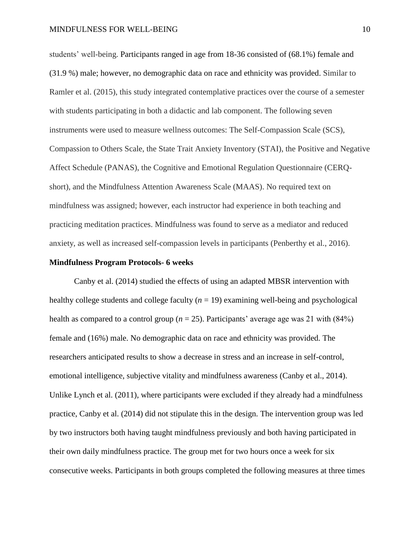students' well-being. Participants ranged in age from 18-36 consisted of (68.1%) female and (31.9 %) male; however, no demographic data on race and ethnicity was provided. Similar to Ramler et al. (2015), this study integrated contemplative practices over the course of a semester with students participating in both a didactic and lab component. The following seven instruments were used to measure wellness outcomes: The Self-Compassion Scale (SCS), Compassion to Others Scale, the State Trait Anxiety Inventory (STAI), the Positive and Negative Affect Schedule (PANAS), the Cognitive and Emotional Regulation Questionnaire (CERQshort), and the Mindfulness Attention Awareness Scale (MAAS). No required text on mindfulness was assigned; however, each instructor had experience in both teaching and practicing meditation practices. Mindfulness was found to serve as a mediator and reduced anxiety, as well as increased self-compassion levels in participants (Penberthy et al., 2016).

#### **Mindfulness Program Protocols- 6 weeks**

Canby et al. (2014) studied the effects of using an adapted MBSR intervention with healthy college students and college faculty  $(n = 19)$  examining well-being and psychological health as compared to a control group ( $n = 25$ ). Participants' average age was 21 with (84%) female and (16%) male. No demographic data on race and ethnicity was provided. The researchers anticipated results to show a decrease in stress and an increase in self-control, emotional intelligence, subjective vitality and mindfulness awareness (Canby et al., 2014). Unlike Lynch et al. (2011), where participants were excluded if they already had a mindfulness practice, Canby et al. (2014) did not stipulate this in the design. The intervention group was led by two instructors both having taught mindfulness previously and both having participated in their own daily mindfulness practice. The group met for two hours once a week for six consecutive weeks. Participants in both groups completed the following measures at three times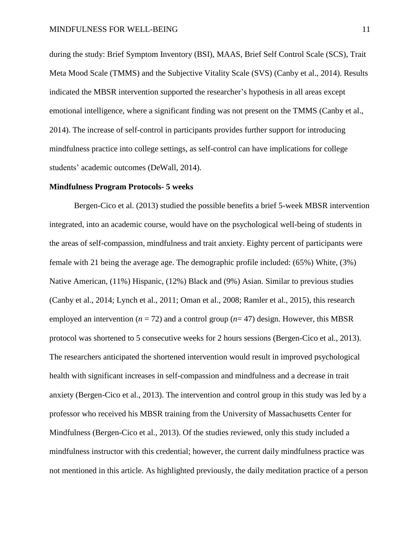during the study: Brief Symptom Inventory (BSI), MAAS, Brief Self Control Scale (SCS), Trait Meta Mood Scale (TMMS) and the Subjective Vitality Scale (SVS) (Canby et al., 2014). Results indicated the MBSR intervention supported the researcher's hypothesis in all areas except emotional intelligence, where a significant finding was not present on the TMMS (Canby et al., 2014). The increase of self-control in participants provides further support for introducing mindfulness practice into college settings, as self-control can have implications for college students' academic outcomes (DeWall, 2014).

#### **Mindfulness Program Protocols- 5 weeks**

Bergen-Cico et al. (2013) studied the possible benefits a brief 5-week MBSR intervention integrated, into an academic course, would have on the psychological well-being of students in the areas of self-compassion, mindfulness and trait anxiety. Eighty percent of participants were female with 21 being the average age. The demographic profile included: (65%) White, (3%) Native American, (11%) Hispanic, (12%) Black and (9%) Asian. Similar to previous studies (Canby et al., 2014; Lynch et al., 2011; Oman et al., 2008; Ramler et al., 2015), this research employed an intervention  $(n = 72)$  and a control group  $(n = 47)$  design. However, this MBSR protocol was shortened to 5 consecutive weeks for 2 hours sessions (Bergen-Cico et al., 2013). The researchers anticipated the shortened intervention would result in improved psychological health with significant increases in self-compassion and mindfulness and a decrease in trait anxiety (Bergen-Cico et al., 2013). The intervention and control group in this study was led by a professor who received his MBSR training from the University of Massachusetts Center for Mindfulness (Bergen-Cico et al., 2013). Of the studies reviewed, only this study included a mindfulness instructor with this credential; however, the current daily mindfulness practice was not mentioned in this article. As highlighted previously, the daily meditation practice of a person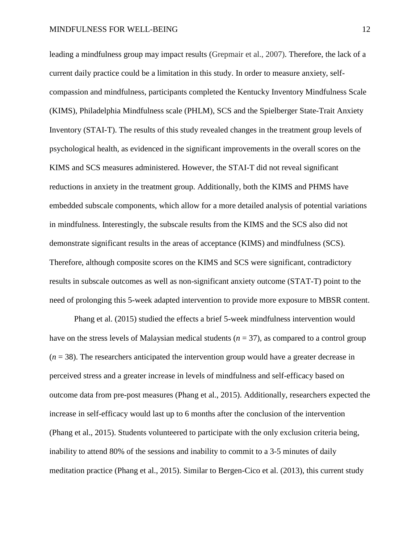leading a mindfulness group may impact results (Grepmair et al., 2007). Therefore, the lack of a current daily practice could be a limitation in this study. In order to measure anxiety, selfcompassion and mindfulness, participants completed the Kentucky Inventory Mindfulness Scale (KIMS), Philadelphia Mindfulness scale (PHLM), SCS and the Spielberger State-Trait Anxiety Inventory (STAI-T). The results of this study revealed changes in the treatment group levels of psychological health, as evidenced in the significant improvements in the overall scores on the KIMS and SCS measures administered. However, the STAI-T did not reveal significant reductions in anxiety in the treatment group. Additionally, both the KIMS and PHMS have embedded subscale components, which allow for a more detailed analysis of potential variations in mindfulness. Interestingly, the subscale results from the KIMS and the SCS also did not demonstrate significant results in the areas of acceptance (KIMS) and mindfulness (SCS). Therefore, although composite scores on the KIMS and SCS were significant, contradictory results in subscale outcomes as well as non-significant anxiety outcome (STAT-T) point to the need of prolonging this 5-week adapted intervention to provide more exposure to MBSR content.

Phang et al. (2015) studied the effects a brief 5-week mindfulness intervention would have on the stress levels of Malaysian medical students (*n* = 37), as compared to a control group (*n* = 38). The researchers anticipated the intervention group would have a greater decrease in perceived stress and a greater increase in levels of mindfulness and self-efficacy based on outcome data from pre-post measures (Phang et al., 2015). Additionally, researchers expected the increase in self-efficacy would last up to 6 months after the conclusion of the intervention (Phang et al., 2015). Students volunteered to participate with the only exclusion criteria being, inability to attend 80% of the sessions and inability to commit to a 3-5 minutes of daily meditation practice (Phang et al., 2015). Similar to Bergen-Cico et al. (2013), this current study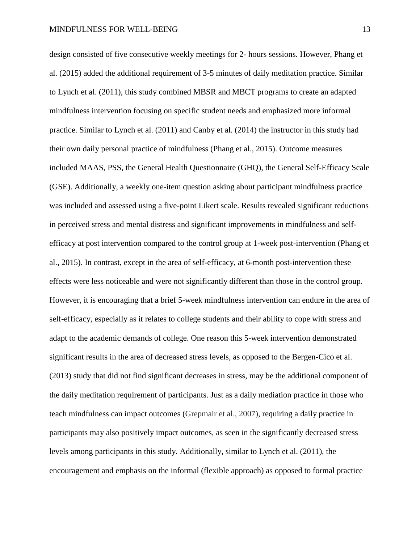design consisted of five consecutive weekly meetings for 2- hours sessions. However, Phang et al. (2015) added the additional requirement of 3-5 minutes of daily meditation practice. Similar to Lynch et al. (2011), this study combined MBSR and MBCT programs to create an adapted mindfulness intervention focusing on specific student needs and emphasized more informal practice. Similar to Lynch et al. (2011) and Canby et al. (2014) the instructor in this study had their own daily personal practice of mindfulness (Phang et al., 2015). Outcome measures included MAAS, PSS, the General Health Questionnaire (GHQ), the General Self-Efficacy Scale (GSE). Additionally, a weekly one-item question asking about participant mindfulness practice was included and assessed using a five-point Likert scale. Results revealed significant reductions in perceived stress and mental distress and significant improvements in mindfulness and selfefficacy at post intervention compared to the control group at 1-week post-intervention (Phang et al., 2015). In contrast, except in the area of self-efficacy, at 6-month post-intervention these effects were less noticeable and were not significantly different than those in the control group. However, it is encouraging that a brief 5-week mindfulness intervention can endure in the area of self-efficacy, especially as it relates to college students and their ability to cope with stress and adapt to the academic demands of college. One reason this 5-week intervention demonstrated significant results in the area of decreased stress levels, as opposed to the Bergen-Cico et al. (2013) study that did not find significant decreases in stress, may be the additional component of the daily meditation requirement of participants. Just as a daily mediation practice in those who teach mindfulness can impact outcomes (Grepmair et al., 2007), requiring a daily practice in participants may also positively impact outcomes, as seen in the significantly decreased stress levels among participants in this study. Additionally, similar to Lynch et al. (2011), the encouragement and emphasis on the informal (flexible approach) as opposed to formal practice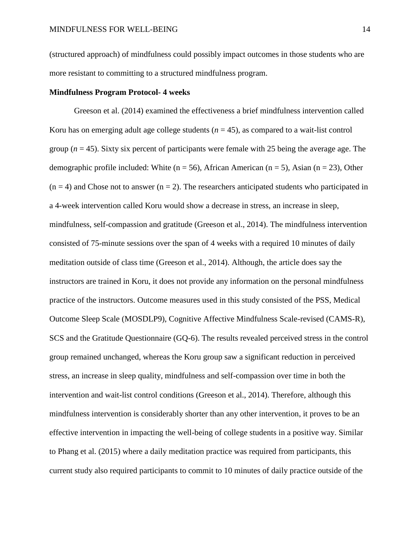(structured approach) of mindfulness could possibly impact outcomes in those students who are more resistant to committing to a structured mindfulness program.

### **Mindfulness Program Protocol- 4 weeks**

Greeson et al. (2014) examined the effectiveness a brief mindfulness intervention called Koru has on emerging adult age college students  $(n = 45)$ , as compared to a wait-list control group ( $n = 45$ ). Sixty six percent of participants were female with 25 being the average age. The demographic profile included: White ( $n = 56$ ), African American ( $n = 5$ ), Asian ( $n = 23$ ), Other  $(n = 4)$  and Chose not to answer  $(n = 2)$ . The researchers anticipated students who participated in a 4-week intervention called Koru would show a decrease in stress, an increase in sleep, mindfulness, self-compassion and gratitude (Greeson et al., 2014). The mindfulness intervention consisted of 75-minute sessions over the span of 4 weeks with a required 10 minutes of daily meditation outside of class time (Greeson et al., 2014). Although, the article does say the instructors are trained in Koru, it does not provide any information on the personal mindfulness practice of the instructors. Outcome measures used in this study consisted of the PSS, Medical Outcome Sleep Scale (MOSDLP9), Cognitive Affective Mindfulness Scale-revised (CAMS-R), SCS and the Gratitude Questionnaire (GQ-6). The results revealed perceived stress in the control group remained unchanged, whereas the Koru group saw a significant reduction in perceived stress, an increase in sleep quality, mindfulness and self-compassion over time in both the intervention and wait-list control conditions (Greeson et al., 2014). Therefore, although this mindfulness intervention is considerably shorter than any other intervention, it proves to be an effective intervention in impacting the well-being of college students in a positive way. Similar to Phang et al. (2015) where a daily meditation practice was required from participants, this current study also required participants to commit to 10 minutes of daily practice outside of the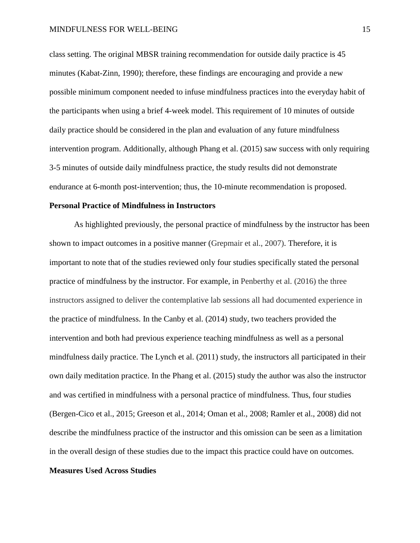class setting. The original MBSR training recommendation for outside daily practice is 45 minutes (Kabat-Zinn, 1990); therefore, these findings are encouraging and provide a new possible minimum component needed to infuse mindfulness practices into the everyday habit of the participants when using a brief 4-week model. This requirement of 10 minutes of outside daily practice should be considered in the plan and evaluation of any future mindfulness intervention program. Additionally, although Phang et al. (2015) saw success with only requiring 3-5 minutes of outside daily mindfulness practice, the study results did not demonstrate endurance at 6-month post-intervention; thus, the 10-minute recommendation is proposed.

#### **Personal Practice of Mindfulness in Instructors**

As highlighted previously, the personal practice of mindfulness by the instructor has been shown to impact outcomes in a positive manner (Grepmair et al., 2007). Therefore, it is important to note that of the studies reviewed only four studies specifically stated the personal practice of mindfulness by the instructor. For example, in Penberthy et al. (2016) the three instructors assigned to deliver the contemplative lab sessions all had documented experience in the practice of mindfulness. In the Canby et al. (2014) study, two teachers provided the intervention and both had previous experience teaching mindfulness as well as a personal mindfulness daily practice. The Lynch et al. (2011) study, the instructors all participated in their own daily meditation practice. In the Phang et al. (2015) study the author was also the instructor and was certified in mindfulness with a personal practice of mindfulness. Thus, four studies (Bergen-Cico et al., 2015; Greeson et al., 2014; Oman et al., 2008; Ramler et al., 2008) did not describe the mindfulness practice of the instructor and this omission can be seen as a limitation in the overall design of these studies due to the impact this practice could have on outcomes.

### **Measures Used Across Studies**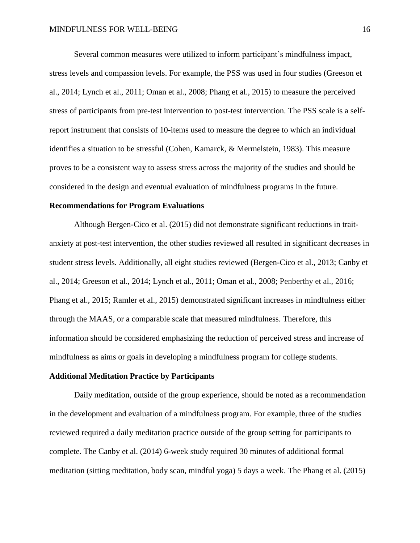Several common measures were utilized to inform participant's mindfulness impact, stress levels and compassion levels. For example, the PSS was used in four studies (Greeson et al., 2014; Lynch et al., 2011; Oman et al., 2008; Phang et al., 2015) to measure the perceived stress of participants from pre-test intervention to post-test intervention. The PSS scale is a selfreport instrument that consists of 10-items used to measure the degree to which an individual identifies a situation to be stressful (Cohen, Kamarck, & Mermelstein, 1983). This measure proves to be a consistent way to assess stress across the majority of the studies and should be considered in the design and eventual evaluation of mindfulness programs in the future.

#### **Recommendations for Program Evaluations**

Although Bergen-Cico et al. (2015) did not demonstrate significant reductions in traitanxiety at post-test intervention, the other studies reviewed all resulted in significant decreases in student stress levels. Additionally, all eight studies reviewed (Bergen-Cico et al., 2013; Canby et al., 2014; Greeson et al., 2014; Lynch et al., 2011; Oman et al., 2008; Penberthy et al., 2016; Phang et al., 2015; Ramler et al., 2015) demonstrated significant increases in mindfulness either through the MAAS, or a comparable scale that measured mindfulness. Therefore, this information should be considered emphasizing the reduction of perceived stress and increase of mindfulness as aims or goals in developing a mindfulness program for college students.

### **Additional Meditation Practice by Participants**

Daily meditation, outside of the group experience, should be noted as a recommendation in the development and evaluation of a mindfulness program. For example, three of the studies reviewed required a daily meditation practice outside of the group setting for participants to complete. The Canby et al. (2014) 6-week study required 30 minutes of additional formal meditation (sitting meditation, body scan, mindful yoga) 5 days a week. The Phang et al. (2015)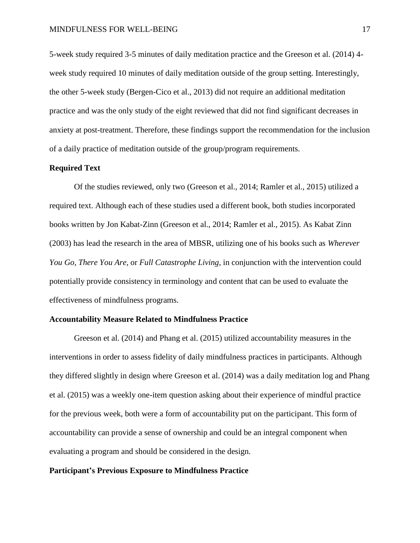5-week study required 3-5 minutes of daily meditation practice and the Greeson et al. (2014) 4 week study required 10 minutes of daily meditation outside of the group setting. Interestingly, the other 5-week study (Bergen-Cico et al., 2013) did not require an additional meditation practice and was the only study of the eight reviewed that did not find significant decreases in anxiety at post-treatment. Therefore, these findings support the recommendation for the inclusion of a daily practice of meditation outside of the group/program requirements.

## **Required Text**

Of the studies reviewed, only two (Greeson et al., 2014; Ramler et al., 2015) utilized a required text. Although each of these studies used a different book, both studies incorporated books written by Jon Kabat-Zinn (Greeson et al., 2014; Ramler et al., 2015). As Kabat Zinn (2003) has lead the research in the area of MBSR, utilizing one of his books such as *Wherever You Go, There You Are,* or *Full Catastrophe Living,* in conjunction with the intervention could potentially provide consistency in terminology and content that can be used to evaluate the effectiveness of mindfulness programs.

### **Accountability Measure Related to Mindfulness Practice**

Greeson et al. (2014) and Phang et al. (2015) utilized accountability measures in the interventions in order to assess fidelity of daily mindfulness practices in participants. Although they differed slightly in design where Greeson et al. (2014) was a daily meditation log and Phang et al. (2015) was a weekly one-item question asking about their experience of mindful practice for the previous week, both were a form of accountability put on the participant. This form of accountability can provide a sense of ownership and could be an integral component when evaluating a program and should be considered in the design.

### **Participant's Previous Exposure to Mindfulness Practice**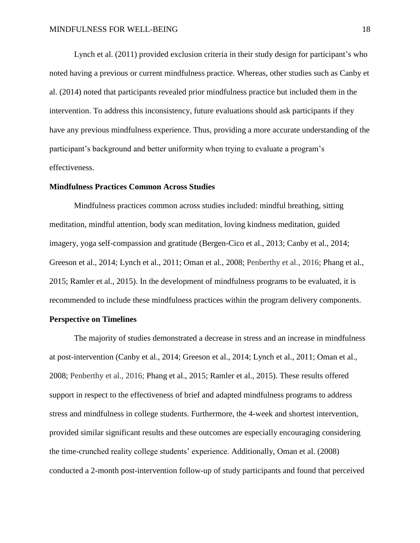Lynch et al. (2011) provided exclusion criteria in their study design for participant's who noted having a previous or current mindfulness practice. Whereas, other studies such as Canby et al. (2014) noted that participants revealed prior mindfulness practice but included them in the intervention. To address this inconsistency, future evaluations should ask participants if they have any previous mindfulness experience. Thus, providing a more accurate understanding of the participant's background and better uniformity when trying to evaluate a program's effectiveness.

### **Mindfulness Practices Common Across Studies**

Mindfulness practices common across studies included: mindful breathing, sitting meditation, mindful attention, body scan meditation, loving kindness meditation, guided imagery, yoga self-compassion and gratitude (Bergen-Cico et al., 2013; Canby et al., 2014; Greeson et al., 2014; Lynch et al., 2011; Oman et al., 2008; Penberthy et al., 2016; Phang et al., 2015; Ramler et al., 2015). In the development of mindfulness programs to be evaluated, it is recommended to include these mindfulness practices within the program delivery components.

## **Perspective on Timelines**

The majority of studies demonstrated a decrease in stress and an increase in mindfulness at post-intervention (Canby et al., 2014; Greeson et al., 2014; Lynch et al., 2011; Oman et al., 2008; Penberthy et al., 2016; Phang et al., 2015; Ramler et al., 2015). These results offered support in respect to the effectiveness of brief and adapted mindfulness programs to address stress and mindfulness in college students. Furthermore, the 4-week and shortest intervention, provided similar significant results and these outcomes are especially encouraging considering the time-crunched reality college students' experience. Additionally, Oman et al. (2008) conducted a 2-month post-intervention follow-up of study participants and found that perceived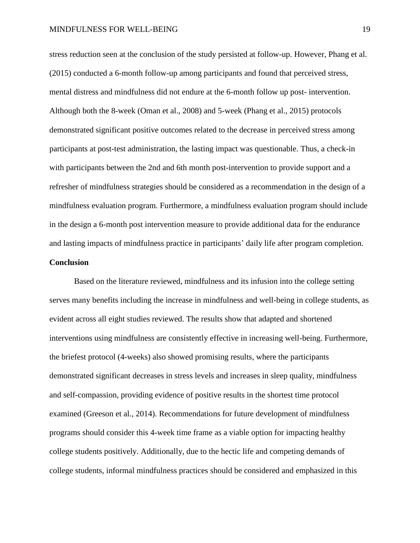stress reduction seen at the conclusion of the study persisted at follow-up. However, Phang et al. (2015) conducted a 6-month follow-up among participants and found that perceived stress, mental distress and mindfulness did not endure at the 6-month follow up post- intervention. Although both the 8-week (Oman et al., 2008) and 5-week (Phang et al., 2015) protocols demonstrated significant positive outcomes related to the decrease in perceived stress among participants at post-test administration, the lasting impact was questionable. Thus, a check-in with participants between the 2nd and 6th month post-intervention to provide support and a refresher of mindfulness strategies should be considered as a recommendation in the design of a mindfulness evaluation program. Furthermore, a mindfulness evaluation program should include in the design a 6-month post intervention measure to provide additional data for the endurance and lasting impacts of mindfulness practice in participants' daily life after program completion.

### **Conclusion**

Based on the literature reviewed, mindfulness and its infusion into the college setting serves many benefits including the increase in mindfulness and well-being in college students, as evident across all eight studies reviewed. The results show that adapted and shortened interventions using mindfulness are consistently effective in increasing well-being. Furthermore, the briefest protocol (4-weeks) also showed promising results, where the participants demonstrated significant decreases in stress levels and increases in sleep quality, mindfulness and self-compassion, providing evidence of positive results in the shortest time protocol examined (Greeson et al., 2014). Recommendations for future development of mindfulness programs should consider this 4-week time frame as a viable option for impacting healthy college students positively. Additionally, due to the hectic life and competing demands of college students, informal mindfulness practices should be considered and emphasized in this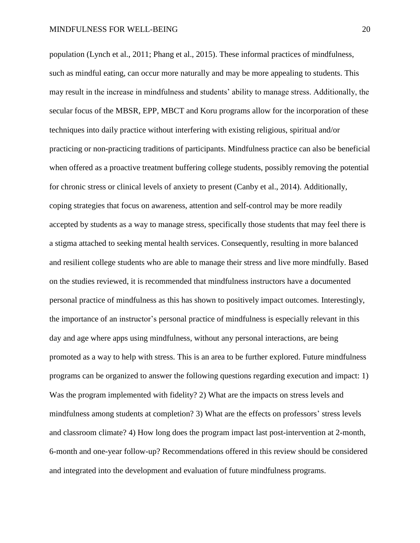population (Lynch et al., 2011; Phang et al., 2015). These informal practices of mindfulness, such as mindful eating, can occur more naturally and may be more appealing to students. This may result in the increase in mindfulness and students' ability to manage stress. Additionally, the secular focus of the MBSR, EPP, MBCT and Koru programs allow for the incorporation of these techniques into daily practice without interfering with existing religious, spiritual and/or practicing or non-practicing traditions of participants. Mindfulness practice can also be beneficial when offered as a proactive treatment buffering college students, possibly removing the potential for chronic stress or clinical levels of anxiety to present (Canby et al., 2014). Additionally, coping strategies that focus on awareness, attention and self-control may be more readily accepted by students as a way to manage stress, specifically those students that may feel there is a stigma attached to seeking mental health services. Consequently, resulting in more balanced and resilient college students who are able to manage their stress and live more mindfully. Based on the studies reviewed, it is recommended that mindfulness instructors have a documented personal practice of mindfulness as this has shown to positively impact outcomes. Interestingly, the importance of an instructor's personal practice of mindfulness is especially relevant in this day and age where apps using mindfulness, without any personal interactions, are being promoted as a way to help with stress. This is an area to be further explored. Future mindfulness programs can be organized to answer the following questions regarding execution and impact: 1) Was the program implemented with fidelity? 2) What are the impacts on stress levels and mindfulness among students at completion? 3) What are the effects on professors' stress levels and classroom climate? 4) How long does the program impact last post-intervention at 2-month, 6-month and one-year follow-up? Recommendations offered in this review should be considered and integrated into the development and evaluation of future mindfulness programs.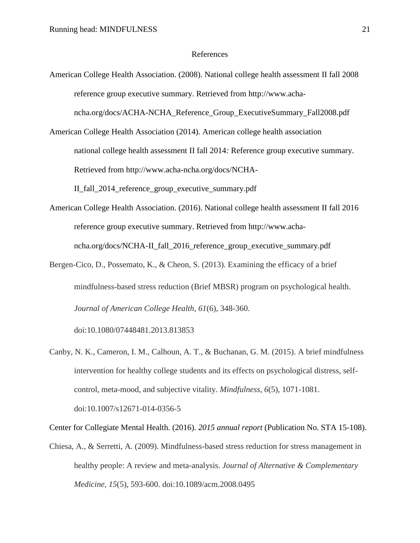### References

American College Health Association. (2008). National college health assessment II fall 2008 reference group executive summary. Retrieved from http://www.achancha.org/docs/ACHA-NCHA\_Reference\_Group\_ExecutiveSummary\_Fall2008.pdf

American College Health Association (2014). American college health association national college health assessment II fall 2014*:* Reference group executive summary. Retrieved from http://www.acha-ncha.org/docs/NCHA-II\_fall\_2014\_reference\_group\_executive\_summary.pdf

- American College Health Association. (2016). National college health assessment II fall 2016 reference group executive summary. Retrieved from http://www.achancha.org/docs/NCHA-II\_fall\_2016\_reference\_group\_executive\_summary.pdf
- Bergen-Cico, D., Possemato, K., & Cheon, S. (2013). Examining the efficacy of a brief mindfulness-based stress reduction (Brief MBSR) program on psychological health. *Journal of American College Health*, *61*(6), 348-360.

doi:10.1080/07448481.2013.813853

Canby, N. K., Cameron, I. M., Calhoun, A. T., & Buchanan, G. M. (2015). A brief mindfulness intervention for healthy college students and its effects on psychological distress, selfcontrol, meta-mood, and subjective vitality. *Mindfulness*, *6*(5), 1071-1081. doi:10.1007/s12671-014-0356-5

Center for Collegiate Mental Health. (2016). *2015 annual report* (Publication No. STA 15-108).

Chiesa, A., & Serretti, A. (2009). Mindfulness-based stress reduction for stress management in healthy people: A review and meta-analysis. *Journal of Alternative & Complementary Medicine*, *15*(5), 593-600. doi:10.1089/acm.2008.0495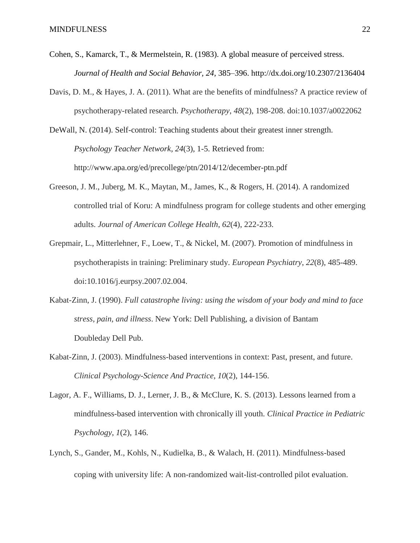- Cohen, S., Kamarck, T., & Mermelstein, R. (1983). A global measure of perceived stress. *Journal of Health and Social Behavior, 24,* 385–396. http://dx.doi.org/10.2307/2136404
- Davis, D. M., & Hayes, J. A. (2011). What are the benefits of mindfulness? A practice review of psychotherapy-related research. *Psychotherapy*, *48*(2), 198-208. doi:10.1037/a0022062
- DeWall, N. (2014). Self-control: Teaching students about their greatest inner strength. *Psychology Teacher Network, 24*(3), 1-5. Retrieved from: http://www.apa.org/ed/precollege/ptn/2014/12/december-ptn.pdf
- Greeson, J. M., Juberg, M. K., Maytan, M., James, K., & Rogers, H. (2014). A randomized controlled trial of Koru: A mindfulness program for college students and other emerging adults. *Journal of American College Health*, *62*(4), 222-233.
- Grepmair, L., Mitterlehner, F., Loew, T., & Nickel, M. (2007). Promotion of mindfulness in psychotherapists in training: Preliminary study. *European Psychiatry*, *22*(8), 485-489. doi:10.1016/j.eurpsy.2007.02.004.
- Kabat-Zinn, J. (1990). *Full catastrophe living: using the wisdom of your body and mind to face stress, pain, and illness*. New York: Dell Publishing, a division of Bantam Doubleday Dell Pub.
- Kabat-Zinn, J. (2003). Mindfulness-based interventions in context: Past, present, and future. *Clinical Psychology-Science And Practice*, *10*(2), 144-156.
- Lagor, A. F., Williams, D. J., Lerner, J. B., & McClure, K. S. (2013). Lessons learned from a mindfulness-based intervention with chronically ill youth. *Clinical Practice in Pediatric Psychology*, *1*(2), 146.
- Lynch, S., Gander, M., Kohls, N., Kudielka, B., & Walach, H. (2011). Mindfulness-based coping with university life: A non-randomized wait-list-controlled pilot evaluation.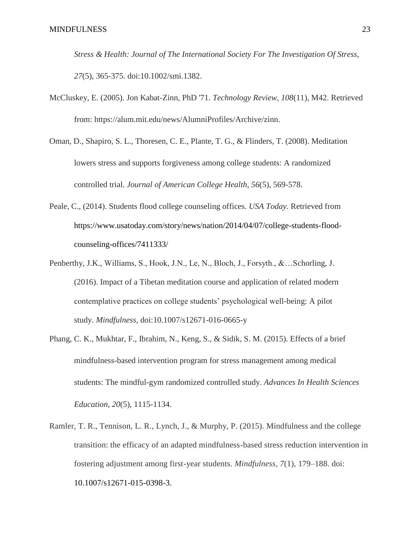*Stress & Health: Journal of The International Society For The Investigation Of Stress*, *27*(5), 365-375. doi:10.1002/smi.1382.

- McCluskey, E. (2005). Jon Kabat-Zinn, PhD '71. *Technology Review*, *108*(11), M42. Retrieved from: https://alum.mit.edu/news/AlumniProfiles/Archive/zinn.
- Oman, D., Shapiro, S. L., Thoresen, C. E., Plante, T. G., & Flinders, T. (2008). Meditation lowers stress and supports forgiveness among college students: A randomized controlled trial. *Journal of American College Health*, *56*(5), 569-578.
- Peale, C., (2014). Students flood college counseling offices. *USA Today.* Retrieved from https://www.usatoday.com/story/news/nation/2014/04/07/college-students-floodcounseling-offices/7411333/
- Penberthy, J.K., Williams, S., Hook, J.N., Le, N., Bloch, J., Forsyth., &…Schorling, J. (2016). Impact of a Tibetan meditation course and application of related modern contemplative practices on college students' psychological well-being: A pilot study. *Mindfulness,* doi:10.1007/s12671-016-0665-y
- Phang, C. K., Mukhtar, F., Ibrahim, N., Keng, S., & Sidik, S. M. (2015). Effects of a brief mindfulness-based intervention program for stress management among medical students: The mindful-gym randomized controlled study. *Advances In Health Sciences Education*, *20*(5), 1115-1134.
- Ramler, T. R., Tennison, L. R., Lynch, J., & Murphy, P. (2015). Mindfulness and the college transition: the efficacy of an adapted mindfulness-based stress reduction intervention in fostering adjustment among first-year students. *Mindfulness, 7*(1), 179–188. doi: 10.1007/s12671-015-0398-3.